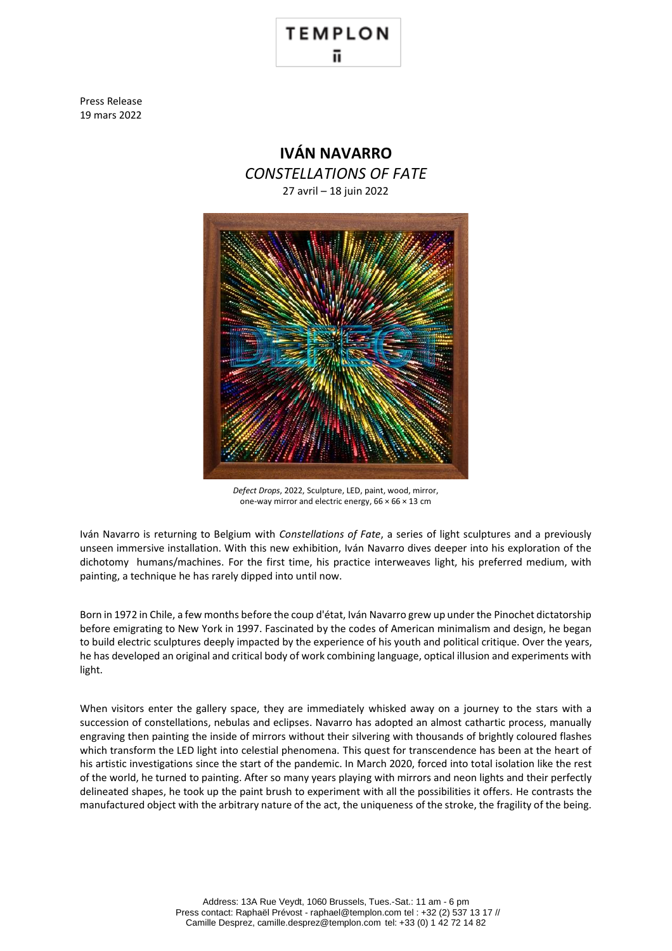## **TEMPLON**

Press Release 19 mars 2022



*Defect Drops*, 2022, Sculpture, LED, paint, wood, mirror, one-way mirror and electric energy,  $66 \times 66 \times 13$  cm

Iván Navarro is returning to Belgium with *Constellations of Fate*, a series of light sculptures and a previously unseen immersive installation. With this new exhibition, Iván Navarro dives deeper into his exploration of the dichotomy humans/machines. For the first time, his practice interweaves light, his preferred medium, with painting, a technique he has rarely dipped into until now.

Born in 1972 in Chile, a few months before the coup d'état, Iván Navarro grew up under the Pinochet dictatorship before emigrating to New York in 1997. Fascinated by the codes of American minimalism and design, he began to build electric sculptures deeply impacted by the experience of his youth and political critique. Over the years, he has developed an original and critical body of work combining language, optical illusion and experiments with light.

When visitors enter the gallery space, they are immediately whisked away on a journey to the stars with a succession of constellations, nebulas and eclipses. Navarro has adopted an almost cathartic process, manually engraving then painting the inside of mirrors without their silvering with thousands of brightly coloured flashes which transform the LED light into celestial phenomena. This quest for transcendence has been at the heart of his artistic investigations since the start of the pandemic. In March 2020, forced into total isolation like the rest of the world, he turned to painting. After so many years playing with mirrors and neon lights and their perfectly delineated shapes, he took up the paint brush to experiment with all the possibilities it offers. He contrasts the manufactured object with the arbitrary nature of the act, the uniqueness of the stroke, the fragility of the being.